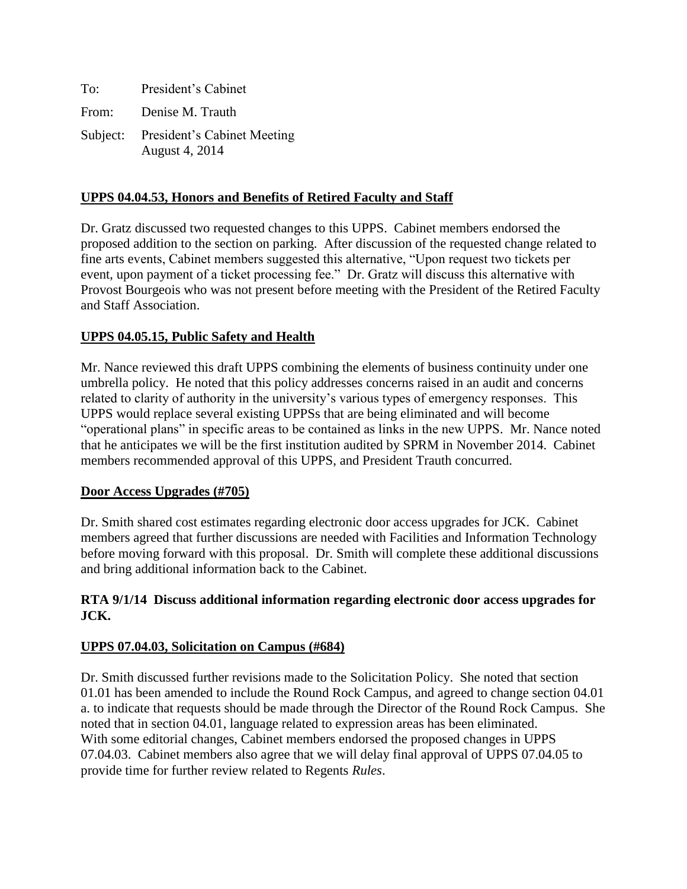| To: | President's Cabinet                                    |
|-----|--------------------------------------------------------|
|     | From: Denise M. Trauth                                 |
|     | Subject: President's Cabinet Meeting<br>August 4, 2014 |

## **UPPS 04.04.53, Honors and Benefits of Retired Faculty and Staff**

Dr. Gratz discussed two requested changes to this UPPS. Cabinet members endorsed the proposed addition to the section on parking. After discussion of the requested change related to fine arts events, Cabinet members suggested this alternative, "Upon request two tickets per event, upon payment of a ticket processing fee." Dr. Gratz will discuss this alternative with Provost Bourgeois who was not present before meeting with the President of the Retired Faculty and Staff Association.

# **UPPS 04.05.15, Public Safety and Health**

Mr. Nance reviewed this draft UPPS combining the elements of business continuity under one umbrella policy. He noted that this policy addresses concerns raised in an audit and concerns related to clarity of authority in the university's various types of emergency responses. This UPPS would replace several existing UPPSs that are being eliminated and will become "operational plans" in specific areas to be contained as links in the new UPPS. Mr. Nance noted that he anticipates we will be the first institution audited by SPRM in November 2014. Cabinet members recommended approval of this UPPS, and President Trauth concurred.

## **Door Access Upgrades (#705)**

Dr. Smith shared cost estimates regarding electronic door access upgrades for JCK. Cabinet members agreed that further discussions are needed with Facilities and Information Technology before moving forward with this proposal. Dr. Smith will complete these additional discussions and bring additional information back to the Cabinet.

## **RTA 9/1/14 Discuss additional information regarding electronic door access upgrades for JCK.**

## **UPPS 07.04.03, Solicitation on Campus (#684)**

Dr. Smith discussed further revisions made to the Solicitation Policy. She noted that section 01.01 has been amended to include the Round Rock Campus, and agreed to change section 04.01 a. to indicate that requests should be made through the Director of the Round Rock Campus. She noted that in section 04.01, language related to expression areas has been eliminated. With some editorial changes, Cabinet members endorsed the proposed changes in UPPS 07.04.03. Cabinet members also agree that we will delay final approval of UPPS 07.04.05 to provide time for further review related to Regents *Rules*.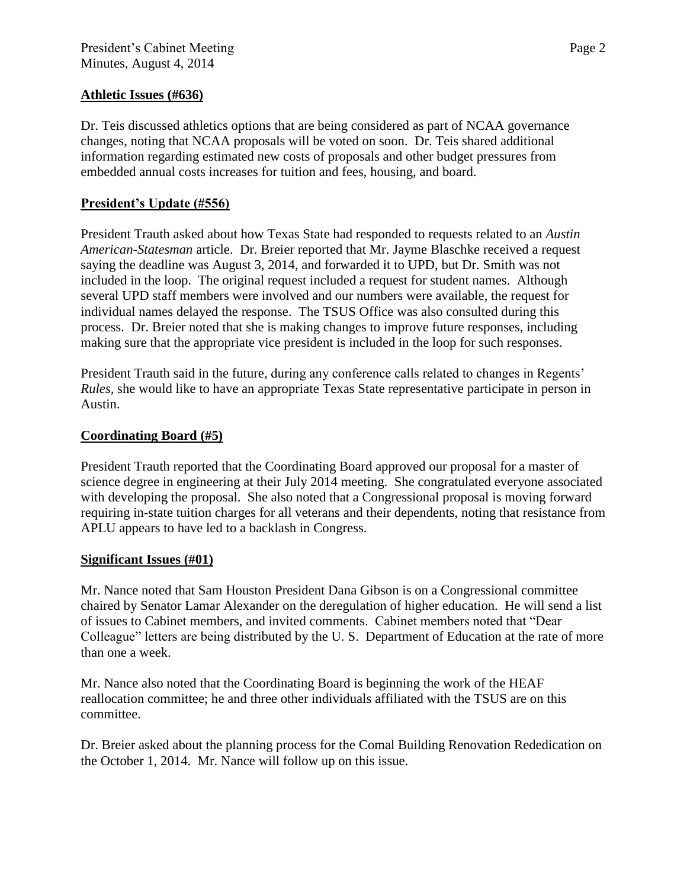## **Athletic Issues (#636)**

Dr. Teis discussed athletics options that are being considered as part of NCAA governance changes, noting that NCAA proposals will be voted on soon. Dr. Teis shared additional information regarding estimated new costs of proposals and other budget pressures from embedded annual costs increases for tuition and fees, housing, and board.

## **President's Update (#556)**

President Trauth asked about how Texas State had responded to requests related to an *Austin American-Statesman* article. Dr. Breier reported that Mr. Jayme Blaschke received a request saying the deadline was August 3, 2014, and forwarded it to UPD, but Dr. Smith was not included in the loop. The original request included a request for student names. Although several UPD staff members were involved and our numbers were available, the request for individual names delayed the response. The TSUS Office was also consulted during this process. Dr. Breier noted that she is making changes to improve future responses, including making sure that the appropriate vice president is included in the loop for such responses.

President Trauth said in the future, during any conference calls related to changes in Regents' *Rules,* she would like to have an appropriate Texas State representative participate in person in Austin.

## **Coordinating Board (#5)**

President Trauth reported that the Coordinating Board approved our proposal for a master of science degree in engineering at their July 2014 meeting. She congratulated everyone associated with developing the proposal. She also noted that a Congressional proposal is moving forward requiring in-state tuition charges for all veterans and their dependents, noting that resistance from APLU appears to have led to a backlash in Congress.

## **Significant Issues (#01)**

Mr. Nance noted that Sam Houston President Dana Gibson is on a Congressional committee chaired by Senator Lamar Alexander on the deregulation of higher education. He will send a list of issues to Cabinet members, and invited comments. Cabinet members noted that "Dear Colleague" letters are being distributed by the U. S. Department of Education at the rate of more than one a week.

Mr. Nance also noted that the Coordinating Board is beginning the work of the HEAF reallocation committee; he and three other individuals affiliated with the TSUS are on this committee.

Dr. Breier asked about the planning process for the Comal Building Renovation Rededication on the October 1, 2014. Mr. Nance will follow up on this issue.